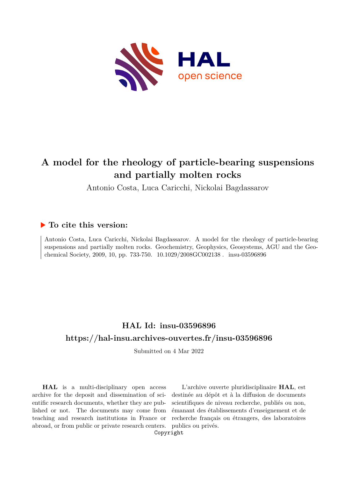

## **A model for the rheology of particle-bearing suspensions and partially molten rocks**

Antonio Costa, Luca Caricchi, Nickolai Bagdassarov

## **To cite this version:**

Antonio Costa, Luca Caricchi, Nickolai Bagdassarov. A model for the rheology of particle-bearing suspensions and partially molten rocks. Geochemistry, Geophysics, Geosystems, AGU and the Geochemical Society, 2009, 10, pp. 733-750.  $10.1029/2008GCO02138$ . insu-03596896

## **HAL Id: insu-03596896 <https://hal-insu.archives-ouvertes.fr/insu-03596896>**

Submitted on 4 Mar 2022

**HAL** is a multi-disciplinary open access archive for the deposit and dissemination of scientific research documents, whether they are published or not. The documents may come from teaching and research institutions in France or abroad, or from public or private research centers.

L'archive ouverte pluridisciplinaire **HAL**, est destinée au dépôt et à la diffusion de documents scientifiques de niveau recherche, publiés ou non, émanant des établissements d'enseignement et de recherche français ou étrangers, des laboratoires publics ou privés.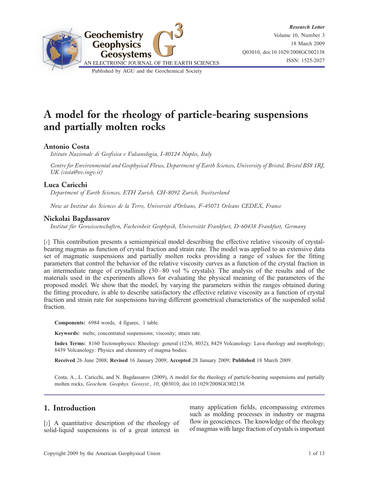

# A model for the rheology of particle-bearing suspensions and partially molten rocks

## Antonio Costa

Istituto Nazionale di Geofisica e Vulcanologia, I-80124 Naples, Italy

Centre for Environmental and Geophysical Flows, Department of Earth Sciences, University of Bristol, Bristol BS8 1RJ, UK (costa@ov.ingv.it)

## Luca Caricchi

Department of Earth Sciences, ETH Zurich, CH-8092 Zurich, Switzerland

Now at Institut des Sciences de la Terre, Université d'Orleans, F-45071 Orleans CEDEX, France

#### Nickolai Bagdassarov

Institut für Geowissenschaften, Facheinheit Geophysik, Universität Frankfurt, D-60438 Frankfurt, Germany

[1] This contribution presents a semiempirical model describing the effective relative viscosity of crystalbearing magmas as function of crystal fraction and strain rate. The model was applied to an extensive data set of magmatic suspensions and partially molten rocks providing a range of values for the fitting parameters that control the behavior of the relative viscosity curves as a function of the crystal fraction in an intermediate range of crystallinity (30–80 vol % crystals). The analysis of the results and of the materials used in the experiments allows for evaluating the physical meaning of the parameters of the proposed model. We show that the model, by varying the parameters within the ranges obtained during the fitting procedure, is able to describe satisfactory the effective relative viscosity as a function of crystal fraction and strain rate for suspensions having different geometrical characteristics of the suspended solid fraction.

Components: 6984 words, 4 figures, 1 table.

Keywords: melts; concentrated suspensions; viscosity; strain rate.

Index Terms: 8160 Tectonophysics: Rheology: general (1236, 8032); 8429 Volcanology: Lava rheology and morphology; 8439 Volcanology: Physics and chemistry of magma bodies.

Received 26 June 2008; Revised 16 January 2009; Accepted 28 January 2009; Published 18 March 2009.

Costa, A., L. Caricchi, and N. Bagdassarov (2009), A model for the rheology of particle-bearing suspensions and partially molten rocks, Geochem. Geophys. Geosyst., 10, Q03010, doi:10.1029/2008GC002138.

## 1. Introduction

[2] A quantitative description of the rheology of solid-liquid suspensions is of a great interest in

many application fields, encompassing extremes such as molding processes in industry or magma flow in geosciences. The knowledge of the rheology of magmas with large fraction of crystals is important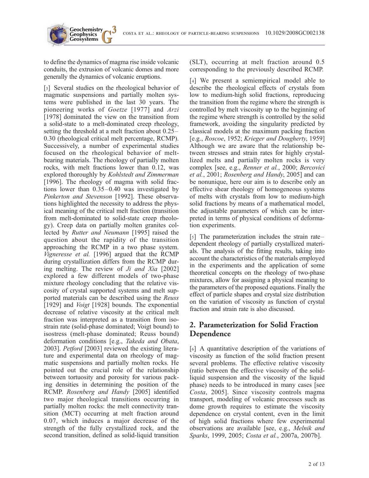COSTA ET AL.: RHEOLOGY OF PARTICLE-BEARING SUSPENSIONS 10.1029/2008GC002138

to define the dynamics of magma rise inside volcanic conduits, the extrusion of volcanic domes and more generally the dynamics of volcanic eruptions.

**Geochemistry Geophysics**

[3] Several studies on the rheological behavior of magmatic suspensions and partially molten systems were published in the last 30 years. The pioneering works of Goetze [1977] and Arzi [1978] dominated the view on the transition from a solid-state to a melt-dominated creep rheology, setting the threshold at a melt fraction about 0.25– 0.30 (rheological critical melt percentage, RCMP). Successively, a number of experimental studies focused on the rheological behavior of meltbearing materials. The rheology of partially molten rocks, with melt fractions lower than 0.12, was explored thoroughly by Kohlstedt and Zimmerman [1996]. The rheology of magma with solid fractions lower than 0.35–0.40 was investigated by Pinkerton and Stevenson [1992]. These observations highlighted the necessity to address the physical meaning of the critical melt fraction (transition from melt-dominated to solid-state creep rheology). Creep data on partially molten granites collected by Rutter and Neumann [1995] raised the question about the rapidity of the transition approaching the RCMP in a two phase system. Vigneresse et al. [1996] argued that the RCMP during crystallization differs from the RCMP during melting. The review of Ji and Xia [2002] explored a few different models of two-phase mixture rheology concluding that the relative viscosity of crystal supported systems and melt supported materials can be described using the Reuss [1929] and *Voigt* [1928] bounds. The exponential decrease of relative viscosity at the critical melt fraction was interpreted as a transition from isostrain rate (solid-phase dominated; Voigt bound) to isostress (melt-phase dominated; Reuss bound) deformation conditions [e.g., Takeda and Obata, 2003]. Petford [2003] reviewed the existing literature and experimental data on rheology of magmatic suspensions and partially molten rocks. He pointed out the crucial role of the relationship between tortuosity and porosity for various packing densities in determining the position of the RCMP. Rosenberg and Handy [2005] identified two major rheological transitions occurring in partially molten rocks: the melt connectivity transition (MCT) occurring at melt fraction around 0.07, which induces a major decrease of the strength of the fully crystallized rock, and the second transition, defined as solid-liquid transition

(SLT), occurring at melt fraction around 0.5 corresponding to the previously described RCMP.

[4] We present a semiempirical model able to describe the rheological effects of crystals from low to medium-high solid fractions, reproducing the transition from the regime where the strength is controlled by melt viscosity up to the beginning of the regime where strength is controlled by the solid framework, avoiding the singularity predicted by classical models at the maximum packing fraction [e.g., Roscoe, 1952; Krieger and Dougherty, 1959] Although we are aware that the relationship between stresses and strain rates for highly crystallized melts and partially molten rocks is very complex [see, e.g., Renner et al., 2000; Bercovici et al., 2001; Rosenberg and Handy, 2005] and can be nonunique, here our aim is to describe only an effective shear rheology of homogeneous systems of melts with crystals from low to medium-high solid fractions by means of a mathematical model, the adjustable parameters of which can be interpreted in terms of physical conditions of deformation experiments.

[5] The parameterization includes the strain rate– dependent rheology of partially crystallized materials. The analysis of the fitting results, taking into account the characteristics of the materials employed in the experiments and the application of some theoretical concepts on the rheology of two-phase mixtures, allow for assigning a physical meaning to the parameters of the proposed equations. Finally the effect of particle shapes and crystal size distribution on the variation of viscosity as function of crystal fraction and strain rate is also discussed.

## 2. Parameterization for Solid Fraction Dependence

[6] A quantitative description of the variations of viscosity as function of the solid fraction present several problems. The effective relative viscosity (ratio between the effective viscosity of the solidliquid suspension and the viscosity of the liquid phase) needs to be introduced in many cases [see Costa, 2005]. Since viscosity controls magma transport, modeling of volcanic processes such as dome growth requires to estimate the viscosity dependence on crystal content, even in the limit of high solid fractions where few experimental observations are available [see, e.g., Melnik and Sparks, 1999, 2005; Costa et al., 2007a, 2007b].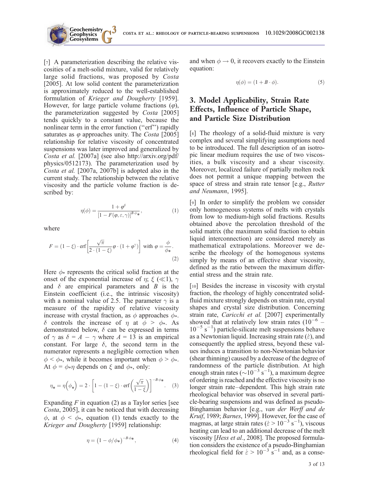

[7] A parameterization describing the relative viscosities of a melt-solid mixture, valid for relatively large solid fractions, was proposed by Costa [2005]. At low solid content the parameterization is approximately reduced to the well-established formulation of Krieger and Dougherty [1959]. However, for large particle volume fractions  $(\varphi)$ , the parameterization suggested by Costa [2005] tends quickly to a constant value, because the nonlinear term in the error function ("erf") rapidly saturates as  $\varphi$  approaches unity. The *Costa* [2005] relationship for relative viscosity of concentrated suspensions was later improved and generalized by Costa et al. [2007a] (see also http://arxiv.org/pdf/ physics/0512173). The parameterization used by Costa et al. [2007a, 2007b] is adopted also in the current study. The relationship between the relative viscosity and the particle volume fraction is described by:

$$
\eta(\phi) = \frac{1 + \varphi^{\delta}}{\left[1 - F(\varphi, \varepsilon, \gamma)\right]^{B \cdot \phi_{\ast}}},\tag{1}
$$

where

$$
F = (1 - \xi) \cdot \text{erf}\left[\frac{\sqrt{\pi}}{2 \cdot (1 - \xi)} \varphi \cdot (1 + \varphi^{\gamma})\right] \text{ with } \varphi = \frac{\phi}{\phi_*}.
$$
\n(2)

Here  $\phi_*$  represents the critical solid fraction at the onset of the exponential increase of  $\eta$ ;  $\xi$  ( $\ll$ 1),  $\gamma$ and  $\delta$  are empirical parameters and  $B$  is the Einstein coefficient (i.e., the intrinsic viscosity) with a nominal value of 2.5. The parameter  $\gamma$  is a measure of the rapidity of relative viscosity increase with crystal fraction, as  $\phi$  approaches  $\phi$ .  $\delta$  controls the increase of  $\eta$  at  $\phi > \phi_*$ . As demonstrated below,  $\delta$  can be expressed in terms of  $\gamma$  as  $\delta = A - \gamma$  where  $A = 13$  is an empirical constant. For large  $\delta$ , the second term in the numerator represents a negligible correction when  $\phi < \phi_*$ , while it becomes important when  $\phi > \phi_*$ . At  $\phi = \phi * \eta$  depends on  $\xi$  and  $\phi *$ , only:

$$
\eta_* = \eta\left(\phi_*\right) = 2 \cdot \left[1 - (1 - \xi) \cdot \text{erf}\left(\frac{\sqrt{\pi}}{1 - \xi}\right)\right]^{-B \cdot \phi_*}.\tag{3}
$$

Expanding  $F$  in equation (2) as a Taylor series [see Costa, 2005], it can be noticed that with decreasing  $\phi$ , at  $\phi < \phi$ , equation (1) tends exactly to the Krieger and Dougherty [1959] relationship:

$$
\eta = \left(1 - \phi/\phi^*\right)^{-B \cdot \phi^*},\tag{4}
$$

and when  $\phi \rightarrow 0$ , it recovers exactly to the Einstein equation:

$$
\eta(\phi) = (1 + B \cdot \phi). \tag{5}
$$

## 3. Model Applicability, Strain Rate Effects, Influence of Particle Shape, and Particle Size Distribution

[8] The rheology of a solid-fluid mixture is very complex and several simplifying assumptions need to be introduced. The full description of an isotropic linear medium requires the use of two viscosities, a bulk viscosity and a shear viscosity. Moreover, localized failure of partially molten rock does not permit a unique mapping between the space of stress and strain rate tensor [e.g., Rutter and Neumann, 1995].

[9] In order to simplify the problem we consider only homogeneous systems of melts with crystals from low to medium-high solid fractions. Results obtained above the percolation threshold of the solid matrix (the maximum solid fraction to obtain liquid interconnection) are considered merely as mathematical extrapolations. Moreover we describe the rheology of the homogenous systems simply by means of an effective shear viscosity, defined as the ratio between the maximum differential stress and the strain rate.

[10] Besides the increase in viscosity with crystal fraction, the rheology of highly concentrated solidfluid mixture strongly depends on strain rate, crystal shapes and crystal size distribution. Concerning strain rate, Caricchi et al. [2007] experimentally showed that at relatively low strain rates  $(10^{-6}$  –  $10^{-5}$  s<sup>-1</sup>) particle-silicate melt suspensions behave as a Newtonian liquid. Increasing strain rate ( $\dot{\varepsilon}$ ), and consequently the applied stress, beyond these values induces a transition to non-Newtonian behavior (shear thinning) caused by a decrease of the degree of randomness of the particle distribution. At high enough strain rates ( $\sim 10^{-3}$  s<sup>-1</sup>), a maximum degree of ordering is reached and the effective viscosity is no longer strain rate–dependent. This high strain rate rheological behavior was observed in several particle-bearing suspensions and was defined as pseudo-Binghamian behavior [e.g., van der Werff and de Kruif, 1989; Barnes, 1999]. However, for the case of magmas, at large strain rates ( $\dot{\varepsilon} > 10^{-3}$  s<sup>-1</sup>), viscous heating can lead to an additional decrease of the melt viscosity [Hess et al., 2008]. The proposed formulation considers the existence of a pseudo-Binghamian rheological field for  $\dot{\varepsilon} > 10^{-3} \text{ s}^{-1}$  and, as a conse-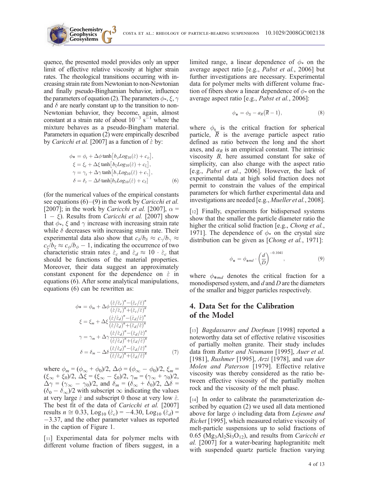

quence, the presented model provides only an upper limit of effective relative viscosity at higher strain rates. The rheological transitions occurring with increasing strain rate from Newtonian to non-Newtonian and finally pseudo-Binghamian behavior, influence the parameters of equation (2). The parameters  $\phi_*, \xi, \gamma$ and  $\delta$  are nearly constant up to the transition to non-Newtonian behavior, they become, again, almost constant at a strain rate of about  $10^{-3}$  s<sup>-1</sup> where the mixture behaves as a pseudo-Bingham material. Parameters in equation (2) were empirically described by *Caricchi et al.* [2007] as a function of  $\dot{\varepsilon}$  by:

**Geophysics**

$$
\phi_* = \phi_t + \Delta \phi \tanh [b_\phi Log_{10}(\dot{\varepsilon}) + c_\phi],
$$
  
\n
$$
\xi = \xi_t + \Delta \xi \tanh [b_\xi Log_{10}(\dot{\varepsilon}) + c_\xi],
$$
  
\n
$$
\gamma = \gamma_t + \Delta \gamma \tanh [b_\gamma Log_{10}(\dot{\varepsilon}) + c_\gamma],
$$
  
\n
$$
\delta = \delta_t - \Delta \delta \tanh [b_\delta Log_{10}(\dot{\varepsilon}) + c_\delta]
$$
 (6)

(for the numerical values of the empirical constants see equations  $(6)$ – $(9)$  in the work by *Caricchi et al.* [2007]; in the work by *Caricchi et al.* [2007],  $\alpha$  =  $1 - \xi$ ). Results from *Caricchi et al.* [2007] show that  $\phi_*$ ,  $\xi$  and  $\gamma$  increase with increasing strain rate while  $\delta$  decreases with increasing strain rate. Their experimental data also show that  $c_{\delta}/b_{\delta} \approx c_{\gamma}/b_{\gamma} \approx$  $c_{\xi}/b_{\xi} \approx c_{\phi}/b_{\phi} - 1$ , indicating the occurrence of two characteristic strain rates  $\dot{\varepsilon}_c$  and  $\dot{\varepsilon}_d \approx 10 \cdot \dot{\varepsilon}_c$  that should be functions of the material properties. Moreover, their data suggest an approximately constant exponent for the dependence on  $\dot{\varepsilon}$  in equations (6). After some analytical manipulations, equations (6) can be rewritten as:

$$
\phi* = \phi_m + \Delta\phi \frac{(\dot{\varepsilon}/\dot{\varepsilon}_c)^n - (\dot{\varepsilon}_c/\dot{\varepsilon})^n}{(\dot{\varepsilon}/\dot{\varepsilon}_c)^n + (\dot{\varepsilon}_c/\dot{\varepsilon})^n}
$$
  

$$
\xi = \xi_m + \Delta\xi \frac{(\dot{\varepsilon}/\dot{\varepsilon}_d)^n - (\dot{\varepsilon}_d/\dot{\varepsilon})^n}{(\dot{\varepsilon}/\dot{\varepsilon}_d)^n + (\dot{\varepsilon}_d/\dot{\varepsilon})^n}
$$
  

$$
\gamma = \gamma_m + \Delta\gamma \frac{(\dot{\varepsilon}/\dot{\varepsilon}_d)^n - (\dot{\varepsilon}_d/\dot{\varepsilon})^n}{(\dot{\varepsilon}/\dot{\varepsilon}_d)^n + (\dot{\varepsilon}_d/\dot{\varepsilon})^n}
$$
  

$$
\delta = \delta_m - \Delta\delta \frac{(\dot{\varepsilon}/\dot{\varepsilon}_d)^n - (\dot{\varepsilon}_d/\dot{\varepsilon})^n}{(\dot{\varepsilon}/\dot{\varepsilon}_d)^n + (\dot{\varepsilon}_d/\dot{\varepsilon})^n}
$$
(7)

where  $\phi_m = (\phi_{\infty} + \phi_0)/2$ ,  $\Delta \phi = (\phi_{\infty} - \phi_0)/2$ ,  $\xi_m =$  $(\xi_{\infty} + \xi_0)/2$ ,  $\Delta \xi = (\xi_{\infty} - \xi_0)/2$ ,  $\gamma_m = (\gamma_{\infty} + \gamma_0)/2$ ,  $\Delta \gamma = (\gamma_{\infty} - \gamma_0)/2$ , and  $\delta_m = (\delta_{\infty} + \delta_0)/2$ ,  $\Delta \delta =$  $(\delta_0 - \delta_\infty)/2$  with subscript  $\infty$  indicating the values at very large  $\dot{\varepsilon}$  and subscript 0 those at very low  $\dot{\varepsilon}$ . The best fit of the data of Caricchi et al. [2007] results  $n \approx 0.33$ , Log<sub>10</sub> ( $\dot{\varepsilon}_c$ ) = -4.30, Log<sub>10</sub> ( $\dot{\varepsilon}_d$ ) =  $-3.37$ , and the other parameter values as reported in the caption of Figure 1.

[11] Experimental data for polymer melts with different volume fraction of fibers suggest, in a limited range, a linear dependence of  $\phi_*$  on the average aspect ratio [e.g., Pabst et al., 2006] but further investigations are necessary. Experimental data for polymer melts with different volume fraction of fibers show a linear dependence of  $\phi_*$  on the average aspect ratio [e.g., Pabst et al., 2006]:

$$
\phi_* = \phi_S - a_R(\overline{R} - 1), \tag{8}
$$

where  $\phi_s$  is the critical fraction for spherical particle, R is the average particle aspect ratio defined as ratio between the long and the short axes, and  $a_R$  is an empirical constant. The intrinsic viscosity B, here assumed constant for sake of simplicity, can also change with the aspect ratio [e.g., Pabst et al., 2006]. However, the lack of experimental data at high solid fraction does not permit to constrain the values of the empirical parameters for which further experimental data and investigations are needed [e.g., Mueller et al., 2008].

[12] Finally, experiments for bidispersed systems show that the smaller the particle diameter ratio the higher the critical solid fraction [e.g., *Chong et al.*, 1971]. The dependence of  $\phi_*$  on the crystal size distribution can be given as [*Chong et al.*, 1971]:

$$
\phi_* = \phi_{*md} \cdot \left(\frac{d}{D}\right)^{-0.1041},\tag{9}
$$

where  $\phi_{*md}$  denotes the critical fraction for a monodispersed system, and  $d$  and  $D$  are the diameters of the smaller and bigger particles respectively.

## 4. Data Set for the Calibration of the Model

[13] *Bagdassarov and Dorfman* [1998] reported a noteworthy data set of effective relative viscosities of partially molten granite. Their study includes data from Rutter and Neumann [1995], Auer et al. [1981], Rushmer [1995], Arzi [1978], and van der Molen and Paterson [1979]. Effective relative viscosity was thereby considered as the ratio between effective viscosity of the partially molten rock and the viscosity of the melt phase.

[14] In order to calibrate the parameterization described by equation (2) we used all data mentioned above for large  $\phi$  including data from *Lejeune and* Richet [1995], which measured relative viscosity of melt-particle suspensions up to solid fractions of  $0.65$  (Mg<sub>3</sub>Al<sub>2</sub>Si<sub>3</sub>O<sub>12</sub>), and results from *Caricchi et* al. [2007] for a water-bearing haplogranititc melt with suspended quartz particle fraction varying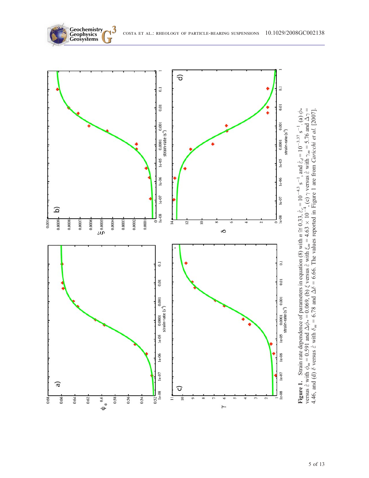

**Figure 1.** Strain rate dependence of parameters in equation (8) with  $n \approx 0.33$ ,  $\dot{\varepsilon}_c = 10$  $^{-4.3}$  s  $^{-1}$ , and  $\dot{\varepsilon}_d = 10$  $-3.37$  s  $\overline{a}$ .  $\mathring{\phi}$ versus  $\epsilon$  with  $\phi_{\scriptscriptstyle{\hbox{\tiny{m}}}}$  $_m = 0.591$  and  $\triangleleft$  $\phi_* = 0.069$ , (b)  $\xi$  versus  $\varepsilon$  with  $\xi_m = 4.63$  $\frac{1}{\times}$  $\frac{1}{4}$  $\prec$  $\gamma$  versus  $\epsilon$  with  $\tilde{\varepsilon}$  $_{m}$  = 5.76 and  $\triangleleft$ ج  $\parallel$ 4.46, and (d)  $\delta$  versus  $\dot{\varepsilon}$  with  $\delta_m = 6.78$  and  $\Delta \delta$  = 6.66. The values reported in Figure 1 are from *Caricchi et al.* [2007].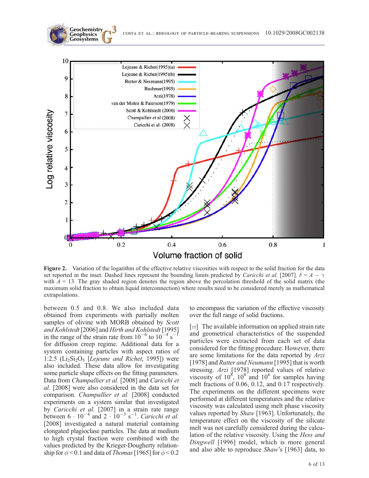

Figure 2. Variation of the logarithm of the effective relative viscosities with respect to the solid fraction for the data set reported in the inset. Dashed lines represent the bounding limits predicted by Caricchi et al. [2007].  $\delta = A - \gamma$ with  $A = 13$ . The gray shaded region denotes the region above the percolation threshold of the solid matrix (the maximum solid fraction to obtain liquid interconnection) where results need to be considered merely as mathematical extrapolations.

between 0.5 and 0.8. We also included data obtained from experiments with partially molten samples of olivine with MORB obtained by Scott and Kohlstedt [2006] and Hirth and Kohlstedt [1995] in the range of the strain rate from  $10^{-6}$  to  $10^{-4}$  s<sup>-1</sup> for diffusion creep regime. Additional data for a system containing particles with aspect ratios of 1:2.5 ( $Li_2Si_2O_5$  [*Lejeune and Richet*, 1995]) were also included. These data allow for investigating some particle shape effects on the fitting parameters. Data from Champallier et al. [2008] and Caricchi et al. [2008] were also considered in the data set for comparison. Champallier et al. [2008] conducted experiments on a system similar that investigated by Caricchi et al. [2007] in a strain rate range between  $6 \cdot 10^{-4}$  and  $2 \cdot 10^{-3}$  s<sup>-1</sup>. Caricchi et al. [2008] investigated a natural material containing elongated plagioclase particles. The data at medium to high crystal fraction were combined with the values predicted by the Krieger-Dougherty relationship for  $\phi$  < 0.1 and data of *Thomas* [1965] for  $\phi$  < 0.2 to encompass the variation of the effective viscosity over the full range of solid fractions.

[15] The available information on applied strain rate and geometrical characteristics of the suspended particles were extracted from each set of data considered for the fitting procedure. However, there are some limitations for the data reported by Arzi [1978] and Rutter and Neumann [1995] that is worth stressing. Arzi [1978] reported values of relative viscosity of  $10^8$ ,  $10^8$  and  $10^6$  for samples having melt fractions of 0.06, 0.12, and 0.17 respectively. The experiments on the different specimens were performed at different temperatures and the relative viscosity was calculated using melt phase viscosity values reported by Shaw [1963]. Unfortunately, the temperature effect on the viscosity of the silicate melt was not carefully considered during the calculation of the relative viscosity. Using the Hess and Dingwell [1996] model, which is more general and also able to reproduce Shaw's [1963] data, to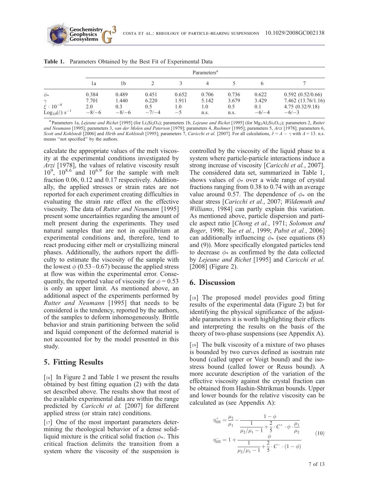|                                                         | Parameters <sup>a</sup> |              |              |              |              |              |              |                                      |  |  |  |  |
|---------------------------------------------------------|-------------------------|--------------|--------------|--------------|--------------|--------------|--------------|--------------------------------------|--|--|--|--|
|                                                         | 1a                      | 1b           |              |              |              |              | <sub>(</sub> |                                      |  |  |  |  |
| $\phi_*$                                                | 0.384                   | 0.489        | 0.451        | 0.652        | 0.706        | 0.736        | 0.622        | 0.592(0.52/0.66)                     |  |  |  |  |
| $\sim$<br>$\xi \cdot 10^{-4}$                           | 7.701<br>2.0            | 1.440<br>0.3 | 6.220<br>0.5 | 1.911<br>1.0 | 5.142<br>1.0 | 3.679<br>0.5 | 3.429<br>0.1 | 7.462(13.76/1.16)<br>4.75(0.32/9.18) |  |  |  |  |
| Log <sub>10</sub> $(\dot{\varepsilon})$ s <sup>-1</sup> | $-8/-6$                 | $-8/-6$      | $-7/-4$      | $-5$         | n.s.         | n.s.         | $-6/-4$      | $-6/-3$                              |  |  |  |  |

|  |  |  |  |  | Table 1. Parameters Obtained by the Best Fit of Experimental Data |  |
|--|--|--|--|--|-------------------------------------------------------------------|--|
|--|--|--|--|--|-------------------------------------------------------------------|--|

**Geochemistry Geophysics**

<sup>a</sup> Parameters 1a, Lejeune and Richet [1995] (for Li<sub>2</sub>Si<sub>2</sub>O<sub>5</sub>); parameters 1b, Lejeune and Richet [1995] (for Mg<sub>3</sub>Al<sub>2</sub>Si<sub>3</sub>O<sub>12</sub>); parameters 2, Rutter and Neumann [1995]; parameters 3, van der Molen and Paterson [1979]; parameters 4, Rushmer [1995]; parameters 5, Arzi [1978]; parameters 6, Scott and Kohlstedt [2006] and Hirth and Kohlstedt [1995]; parameters 7, Caricchi et al. [2007]. For all calculations,  $\delta = A - \gamma$  with  $A = 13$ . n.s. means ''not specified'' by the authors.

calculate the appropriate values of the melt viscosity at the experimental conditions investigated by Arzi [1978], the values of relative viscosity result  $10^9$ ,  $10^{8.6}$  and  $10^{6.9}$  for the sample with melt fraction 0.06, 0.12 and 0.17 respectively. Additionally, the applied stresses or strain rates are not reported for each experiment creating difficulties in evaluating the strain rate effect on the effective viscosity. The data of Rutter and Neumann [1995] present some uncertainties regarding the amount of melt present during the experiments. They used natural samples that are not in equilibrium at experimental conditions and, therefore, tend to react producing either melt or crystallizing mineral phases. Additionally, the authors report the difficulty to estimate the viscosity of the sample with the lowest  $\phi$  (0.53–0.67) because the applied stress at flow was within the experimental error. Consequently, the reported value of viscosity for  $\phi = 0.53$ is only an upper limit. As mentioned above, an additional aspect of the experiments performed by Rutter and Neumann [1995] that needs to be considered is the tendency, reported by the authors, of the samples to deform inhomogeneously. Brittle behavior and strain partitioning between the solid and liquid component of the deformed material is not accounted for by the model presented in this study.

#### 5. Fitting Results

[16] In Figure 2 and Table 1 we present the results obtained by best fitting equation (2) with the data set described above. The results show that most of the available experimental data are within the range predicted by Caricchi et al. [2007] for different applied stress (or strain rate) conditions.

[17] One of the most important parameters determining the rheological behavior of a dense solidliquid mixture is the critical solid fraction  $\phi_*$ . This critical fraction delimits the transition from a system where the viscosity of the suspension is controlled by the viscosity of the liquid phase to a system where particle-particle interactions induce a strong increase of viscosity [Caricchi et al., 2007]. The considered data set, summarized in Table 1, shows values of  $\phi_*$  over a wide range of crystal fractions ranging from 0.38 to 0.74 with an average value around 0.57. The dependence of  $\phi_*$  on the shear stress [Caricchi et al., 2007; Wildemuth and Williams, 1984] can partly explain this variation. As mentioned above, particle dispersion and particle aspect ratio [Chong et al., 1971; Solomon and Boger, 1998; Yue et al., 1999; Pabst et al., 2006] can additionally influencing  $\phi$  (see equations (8) and (9)). More specifically elongated particles tend to decrease  $\phi_*$  as confirmed by the data collected by Lejeune and Richet [1995] and Caricchi et al. [2008] (Figure 2).

#### 6. Discussion

[18] The proposed model provides good fitting results of the experimental data (Figure 2) but for identifying the physical significance of the adjustable parameters it is worth highlighting their effects and interpreting the results on the basis of the theory of two-phase suspensions (see Appendix A).

[19] The bulk viscosity of a mixture of two phases is bounded by two curves defined as isostrain rate bound (called upper or Voigt bound) and the isostress bound (called lower or Reuss bound). A more accurate description of the variation of the effective viscosity against the crystal fraction can be obtained from Hashin-Shtrikman bounds. Upper and lower bounds for the relative viscosity can be calculated as (see Appendix A):

$$
\eta_{HS}^{+} = \frac{\mu_2}{\mu_1} - \frac{1 - \phi}{\frac{1}{\mu_2/\mu_1 - 1} + \frac{2}{5} \cdot C^+ \cdot \phi \cdot \frac{\mu_1}{\mu_2}} \eta_{HS}^{-} = 1 + \frac{1}{\frac{1}{\mu_2/\mu_1 - 1} + \frac{2}{5} \cdot C^- \cdot (1 - \phi)}
$$
\n(10)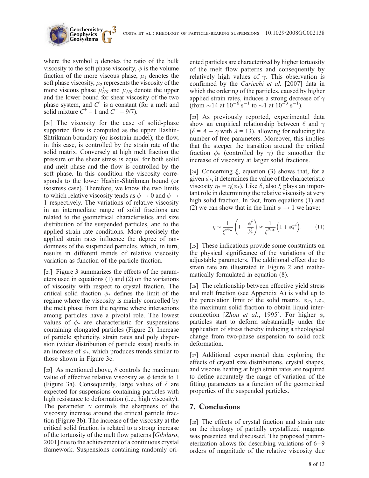

where the symbol  $\eta$  denotes the ratio of the bulk viscosity to the soft phase viscosity,  $\phi$  is the volume fraction of the more viscous phase,  $\mu_1$  denotes the soft phase viscosity,  $\mu_2$  represents the viscosity of the more viscous phase  $\mu_{HS}^+$  and  $\mu_{HS}^-$  denote the upper and the lower bound for shear viscosity of the two phase system, and  $C^{\pm}$  is a constant (for a melt and solid mixture  $C^+$  = 1 and  $C^-$  = 9/7).

**Geochemistry Geophysics**

[20] The viscosity for the case of solid-phase supported flow is computed as the upper Hashin-Shtrikman boundary (or isostrain model); the flow, in this case, is controlled by the strain rate of the solid matrix. Conversely at high melt fraction the pressure or the shear stress is equal for both solid and melt phase and the flow is controlled by the soft phase. In this condition the viscosity corresponds to the lower Hashin-Shtrikman bound (or isostress case). Therefore, we know the two limits to which relative viscosity tends as  $\phi \rightarrow 0$  and  $\phi \rightarrow$ 1 respectively. The variations of relative viscosity in an intermediate range of solid fractions are related to the geometrical characteristics and size distribution of the suspended particles, and to the applied strain rate conditions. More precisely the applied strain rates influence the degree of randomness of the suspended particles, which, in turn, results in different trends of relative viscosity variation as function of the particle fraction.

[21] Figure 3 summarizes the effects of the parameters used in equations (1) and (2) on the variations of viscosity with respect to crystal fraction. The critical solid fraction  $\phi_*$  defines the limit of the regime where the viscosity is mainly controlled by the melt phase from the regime where interactions among particles have a pivotal role. The lowest values of  $\phi_*$  are characteristic for suspensions containing elongated particles (Figure 2). Increase of particle sphericity, strain rates and poly dispersion (wider distribution of particle sizes) results in an increase of  $\phi$ , which produces trends similar to those shown in Figure 3c.

[22] As mentioned above,  $\delta$  controls the maximum value of effective relative viscosity as  $\phi$  tends to 1 (Figure 3a). Consequently, large values of  $\delta$  are expected for suspensions containing particles with high resistance to deformation (i.e., high viscosity). The parameter  $\gamma$  controls the sharpness of the viscosity increase around the critical particle fraction (Figure 3b). The increase of the viscosity at the critical solid fraction is related to a strong increase of the tortuosity of the melt flow patterns [Gibilaro, 2001] due to the achievement of a continuous crystal framework. Suspensions containing randomly oriented particles are characterized by higher tortuosity of the melt flow patterns and consequently by relatively high values of  $\gamma$ . This observation is confirmed by the Caricchi et al. [2007] data in which the ordering of the particles, caused by higher applied strain rates, induces a strong decrease of  $\gamma$ (from  $\sim$  14 at 10<sup>-6</sup> s<sup>-1</sup> to  $\sim$ 1 at 10<sup>-3</sup> s<sup>-1</sup>).

[23] As previously reported, experimental data show an empirical relationship between  $\delta$  and  $\gamma$  $(\delta = A - \gamma \text{ with } A = 13)$ , allowing for reducing the number of free parameters. Moreover, this implies that the steeper the transition around the critical fraction  $\phi_*$  (controlled by  $\gamma$ ) the smoother the increase of viscosity at larger solid fractions.

[24] Concerning  $\xi$ , equation (3) shows that, for a given  $\phi_*$ , it determines the value of the characteristic viscosity  $\eta_* = \eta(\phi_*)$ . Like  $\delta$ , also  $\xi$  plays an important role in determining the relative viscosity at very high solid fraction. In fact, from equations (1) and (2) we can show that in the limit  $\phi \rightarrow 1$  we have:

$$
\eta \sim \frac{1}{\xi^{\mathcal{B}\phi_{\mathbf{\ast}}}} \left( 1 + \frac{\phi^{\delta}}{\phi_{\mathbf{\ast}}^{\delta}} \right) \approx \frac{1}{\xi^{\mathcal{B}\phi_{\mathbf{\ast}}}} \left( 1 + \phi_{\mathbf{\ast}}^{-\delta} \right). \tag{11}
$$

[25] These indications provide some constraints on the physical significance of the variations of the adjustable parameters. The additional effect due to strain rate are illustrated in Figure 2 and mathematically formulated in equation (8).

[26] The relationship between effective yield stress and melt fraction (see Appendix A) is valid up to the percolation limit of the solid matrix,  $\phi_C$ , i.e., the maximum solid fraction to obtain liquid interconnection [Zhou et al., 1995]. For higher  $\phi$ , particles start to deform substantially under the application of stress thereby inducing a rheological change from two-phase suspension to solid rock deformation.

[27] Additional experimental data exploring the effects of crystal size distributions, crystal shapes, and viscous heating at high strain rates are required to define accurately the range of variation of the fitting parameters as a function of the geometrical properties of the suspended particles.

## 7. Conclusions

[28] The effects of crystal fraction and strain rate on the rheology of partially crystallized magmas was presented and discussed. The proposed parameterization allows for describing variations of 6–9 orders of magnitude of the relative viscosity due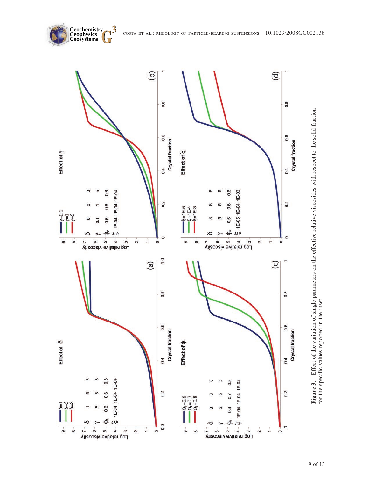

**Geochemistry**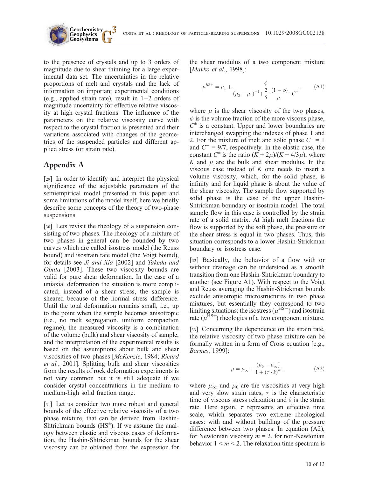

to the presence of crystals and up to 3 orders of magnitude due to shear thinning for a large experimental data set. The uncertainties in the relative proportions of melt and crystals and the lack of information on important experimental conditions (e.g., applied strain rate), result in  $1-2$  orders of magnitude uncertainty for effective relative viscosity at high crystal fractions. The influence of the parameters on the relative viscosity curve with respect to the crystal fraction is presented and their variations associated with changes of the geometries of the suspended particles and different applied stress (or strain rate).

**Geochemistry Geophysics**

## Appendix A

[29] In order to identify and interpret the physical significance of the adjustable parameters of the semiempirical model presented in this paper and some limitations of the model itself, here we briefly describe some concepts of the theory of two-phase suspensions.

[30] Lets revisit the rheology of a suspension consisting of two phases. The rheology of a mixture of two phases in general can be bounded by two curves which are called isostress model (the Reuss bound) and isostrain rate model (the Voigt bound), for details see Ji and Xia [2002] and Takeda and Obata [2003]. These two viscosity bounds are valid for pure shear deformation. In the case of a uniaxial deformation the situation is more complicated, instead of a shear stress, the sample is sheared because of the normal stress difference. Until the total deformation remains small, i.e., up to the point when the sample becomes anisotropic (i.e., no melt segregation, uniform compaction regime), the measured viscosity is a combination of the volume (bulk) and shear viscosity of sample, and the interpretation of the experimental results is based on the assumptions about bulk and shear viscosities of two phases [McKenzie, 1984; Ricard et al., 2001]. Splitting bulk and shear viscosities from the results of rock deformation experiments is not very common but it is still adequate if we consider crystal concentrations in the medium to medium-high solid fraction range.

[31] Let us consider two more robust and general bounds of the effective relative viscosity of a two phase mixture, that can be derived from Hashin-Shtrickman bounds  $(HS^{\pm})$ . If we assume the analogy between elastic and viscous cases of deformation, the Hashin-Shtrickman bounds for the shear viscosity can be obtained from the expression for the shear modulus of a two component mixture [Mavko et al., 1998]:

$$
\mu^{H\!S\pm} = \mu_1 + \frac{\phi}{(\mu_2 - \mu_1)^{-1} + \frac{2}{5} \cdot \frac{(1 - \phi)}{\mu_1} \cdot C^{\pm}},\tag{A1}
$$

where  $\mu$  is the shear viscosity of the two phases,  $\phi$  is the volume fraction of the more viscous phase,  $C^{\pm}$  is a constant. Upper and lower boundaries are interchanged swapping the indexes of phase 1 and 2. For the mixture of melt and solid phase  $C^+ = 1$ and  $C^- = 9/7$ , respectively. In the elastic case, the constant  $C^{\pm}$  is the ratio  $(K + 2\mu)/(K + 4/3\mu)$ , where K and  $\mu$  are the bulk and shear modulus. In the viscous case instead of  $K$  one needs to insert a volume viscosity, which, for the solid phase, is infinity and for liquid phase is about the value of the shear viscosity. The sample flow supported by solid phase is the case of the upper Hashin-Shtrickman boundary or isostrain model. The total sample flow in this case is controlled by the strain rate of a solid matrix. At high melt fractions the flow is supported by the soft phase, the pressure or the shear stress is equal in two phases. Thus, this situation corresponds to a lower Hashin-Strickman boundary or isostress case.

[32] Basically, the behavior of a flow with or without drainage can be understood as a smooth transition from one Hashin-Shtrickman boundary to another (see Figure A1). With respect to the Voigt and Reuss averaging the Hashin-Strickman bounds exclude anisotropic microstructures in two phase mixtures, but essentially they correspond to two limiting situations: the isostress  $(\mu^{\text{HS}-})$  and isostrain rate ( $\mu^{\text{HS+}}$ ) rheologies of a two component mixture.

[33] Concerning the dependence on the strain rate, the relative viscosity of two phase mixture can be formally written in a form of Cross equation [e.g., Barnes, 1999]:

$$
\mu = \mu_{\infty} + \frac{(\mu_0 - \mu_{\infty})}{1 + (\tau \cdot \dot{\varepsilon})^m},
$$
\n(A2)

where  $\mu_{\infty}$  und  $\mu_0$  are the viscosities at very high and very slow strain rates,  $\tau$  is the characteristic time of viscous stress relaxation and  $\dot{\varepsilon}$  is the strain rate. Here again,  $\tau$  represents an effective time scale, which separates two extreme rheological cases: with and without building of the pressure difference between two phases. In equation (A2), for Newtonian viscosity  $m = 2$ , for non-Newtonian behavior  $1 \le m \le 2$ . The relaxation time spectrum is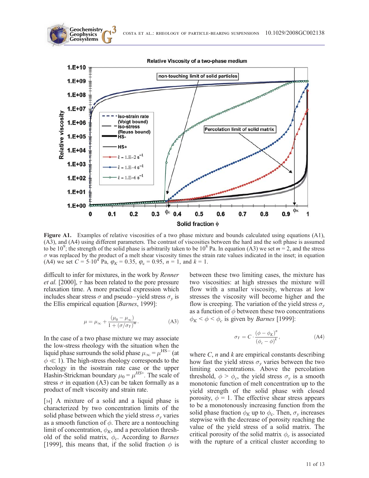



Figure A1. Examples of relative viscosities of a two phase mixture and bounds calculated using equations (A1), (A3), and (A4) using different parameters. The contrast of viscosities between the hard and the soft phase is assumed to be 10<sup>9</sup>; the strength of the solid phase is arbitrarily taken to be 10<sup>8</sup> Pa. In equation (A3) we set  $m = 2$ , and the stress  $\sigma$  was replaced by the product of a melt shear viscosity times the strain rate values indicated in the inset; in equation (A4) we set  $C = 5.10^4$  Pa,  $\varphi_K = 0.35$ ,  $\varphi_c = 0.95$ ,  $n = 1$ , and  $k = 1$ .

difficult to infer for mixtures, in the work by Renner *et al.* [2000],  $\tau$  has been related to the pore pressure relaxation time. A more practical expression which includes shear stress  $\sigma$  and pseudo–yield stress  $\sigma_v$  is the Ellis empirical equation [Barnes, 1999]:

$$
\mu = \mu_{\infty} + \frac{(\mu_0 - \mu_{\infty})}{1 + (\sigma/\sigma_Y)^m}.
$$
 (A3)

In the case of a two phase mixture we may associate the low-stress rheology with the situation when the liquid phase surrounds the solid phase  $\mu_{\infty} = \mu^{\text{HS}-}$  (at  $\phi \ll 1$ ). The high-stress rheology corresponds to the rheology in the isostrain rate case or the upper Hashin-Strickman boundary  $\mu_0 = \mu^{HS^+}$ . The scale of stress  $\sigma$  in equation (A3) can be taken formally as a product of melt viscosity and strain rate.

[34] A mixture of a solid and a liquid phase is characterized by two concentration limits of the solid phase between which the yield stress  $\sigma_{\nu}$  varies as a smooth function of  $\phi$ . There are a nontouching limit of concentration,  $\phi_K$ , and a percolation threshold of the solid matrix,  $\phi_c$ . According to *Barnes* [1999], this means that, if the solid fraction  $\phi$  is between these two limiting cases, the mixture has two viscosities: at high stresses the mixture will flow with a smaller viscosity, whereas at low stresses the viscosity will become higher and the flow is creeping. The variation of the yield stress  $\sigma_{v}$ as a function of  $\phi$  between these two concentrations  $\phi_K < \phi < \phi_c$  is given by *Barnes* [1999]:

$$
\sigma_Y = C \cdot \frac{(\phi - \phi_K)^n}{(\phi_c - \phi)^k},\tag{A4}
$$

where  $C$ , *n* and *k* are empirical constants describing how fast the yield stress  $\sigma_v$  varies between the two limiting concentrations. Above the percolation threshold,  $\phi > \phi_c$ , the yield stress  $\sigma_v$  is a smooth monotonic function of melt concentration up to the yield strength of the solid phase with closed porosity,  $\phi = 1$ . The effective shear stress appears to be a monotonously increasing function from the solid phase fraction  $\phi_K$  up to  $\phi_c$ . Then,  $\sigma_v$  increases stepwise with the decrease of porosity reaching the value of the yield stress of a solid matrix. The critical porosity of the solid matrix  $\phi_c$  is associated with the rupture of a critical cluster according to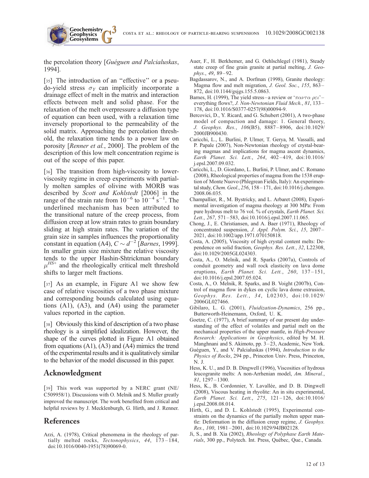the percolation theory [Guéguen and Palcialuskas, 1994].

**Geochemistry Geophysics**

[35] The introduction of an "effective" or a pseudo-yield stress  $\sigma_Y$  can implicitly incorporate a drainage effect of melt in the matrix and interaction effects between melt and solid phase. For the relaxation of the melt overpressure a diffusion type of equation can been used, with a relaxation time inversely proportional to the permeability of the solid matrix. Approaching the percolation threshold, the relaxation time tends to a power law on porosity [Renner et al., 2000]. The problem of the description of this low melt concentration regime is out of the scope of this paper.

[36] The transition from high-viscosity to lowerviscosity regime in creep experiments with partially molten samples of olivine with MORB was described by Scott and Kohlstedt [2006] in the range of the strain rate from  $10^{-6}$  to  $10^{-4}$  s<sup>-1</sup>. The underlined mechanism has been attributed to the transitional nature of the creep process, from diffusion creep at low strain rates to grain boundary sliding at high strain rates. The variation of the grain size in samples influences the proportionality constant in equation (A4),  $C \sim d^{-2}$  [Barnes, 1999]. In smaller grain size mixture the relative viscosity tends to the upper Hashin-Shtrickman boundary  $\mu^{HS+}$  and the rheologically critical melt threshold shifts to larger melt fractions.

[37] As an example, in Figure A1 we show few case of relative viscosities of a two phase mixture and corresponding bounds calculated using equations (A1), (A3), and (A4) using the parameter values reported in the caption.

[38] Obviously this kind of description of a two phase rheology is a simplified idealization. However, the shape of the curves plotted in Figure A1 obtained from equations (A1), (A3) and (A4) mimics the trend of the experimental results and it is qualitatively similar to the behavior of the model discussed in this paper.

#### Acknowledgment

[39] This work was supported by a NERC grant (NE/ C509958/1). Discussions with O. Melnik and S. Muller greatly improved the manuscript. The work benefited from critical and helpful reviews by J. Mecklenburgh, G. Hirth, and J. Renner.

## References

Arzi, A. (1978), Critical phenomena in the rheology of partially melted rocks, Tectonophysics, 44, 173-184, doi:10.1016/0040-1951(78)90069-0.

- Auer, F., H. Berkhemer, and G. Oehlschlegel (1981), Steady state creep of fine grain granite at partial melting, J. Geophys., 49, 89 – 92.
- Bagdassarov, N., and A. Dorfman (1998), Granite rheology: Magma flow and melt migration, J. Geol. Soc., 155, 863-872, doi:10.1144/gsjgs.155.5.0863.
- Barnes, H. (1999), The yield stress-a review or ' $\pi \alpha \nu \tau \alpha \rho \epsilon \nu'$  everything flows?, J. Non-Newtonian Fluid Mech., 81, 133-178, doi:10.1016/S0377-0257(98)00094-9.
- Bercovici, D., Y. Ricard, and G. Schubert (2001), A two-phase model of compaction and damage: 1. General theory, J. Geophys. Res., 106(B5), 8887 – 8906, doi:10.1029/ 2000JB900430.
- Caricchi, L., L. Burlini, P. Ulmer, T. Gerya, M. Vassalli, and P. Papale (2007), Non-Newtonian rheology of crystal-bearing magmas and implications for magma ascent dynamics, Earth Planet. Sci. Lett., 264, 402-419, doi:10.1016/ j.epsl.2007.09.032.
- Caricchi, L., D. Giordano, L. Burlini, P. Ulmer, and C. Romano (2008), Rheological properties of magma from the 1538 eruption of Monte Nuovo (Phlegrean Fields, Italy): An experimental study,Chem. Geol., 256, 158 – 171, doi:10.1016/j.chemgeo. 2008.06.035.
- Champallier, R., M. Bystricky, and L. Arbaret (2008), Experimental investigation of magma rheology at 300 MPa: From pure hydrous melt to 76 vol. % of crystals, Earth Planet. Sci. Lett., 267, 571-583, doi:10.1016/j.epsl.2007.11.065.
- Chong, J., E. Christiansen, and A. Baer (1971), Rheology of concentrated suspension, J. Appl. Polym. Sci., 15, 2007-2021, doi:10.1002/app.1971.070150818.
- Costa, A. (2005), Viscosity of high crystal content melts: Dependence on solid fraction, Geophys. Res. Lett., 32, L22308, doi:10.1029/2005GL024303.
- Costa, A., O. Melnik, and R. Sparks (2007a), Controls of conduit geometry and wall rock elasticity on lava dome eruptions, Earth Planet. Sci. Lett., 260, 137-151, doi:10.1016/j.epsl.2007.05.024.
- Costa, A., O. Melnik, R. Sparks, and B. Voight (2007b), Control of magma flow in dykes on cyclic lava dome extrusion, Geophys. Res. Lett., 34, L02303, doi:10.1029/ 2006GL027466.
- Gibilaro, L. G. (2001), Fluidization-Dynamics, 256 pp., Butterworth-Heinemann, Oxford, U. K.
- Goetze, C. (1977), A brief summary of our present day understanding of the effect of volatiles and partial melt on the mechanical properties of the upper mantle, in High-Pressure Research: Applications in Geophysics, edited by M. H. Manghnani and S. Akimoto, pp. 3 – 23, Academic, New York.
- Guéguen, Y., and V. Palcialuskas (1994), *Introduction to the* Physics of Rocks, 294 pp., Princeton Univ. Press, Princeton, N. J.
- Hess, K. U., and D. B. Dingwell (1996), Viscosities of hydrous leucogranite melts: A non-Arrhenian model, Am. Mineral., 81, 1297 – 1300.
- Hess, K., B. Cordonnier, Y. Lavallée, and D. B. Dingwell (2008), Viscous heating in rhyolite: An in situ experimental, Earth Planet. Sci. Lett., 275, 121 – 126, doi:10.1016/ j.epsl.2008.08.014.
- Hirth, G., and D. L. Kohlstedt (1995), Experimental constraints on the dynamics of the partially molten upper mantle: Deformation in the diffusion creep regime, J. Geophys. Res., 100, 1981-2001, doi:10.1029/94JB02128.
- Ji, S., and B. Xia (2002), Rheology of Polyphase Earth Materials, 300 pp., Polytech. Int. Press, Québec, Que., Canada.